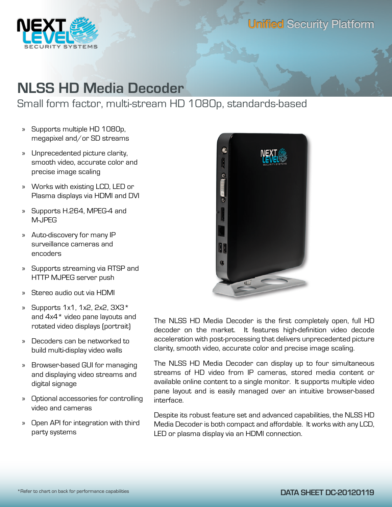

## Unified Security Platform

# **NLSS HD Media Decoder**

## Small form factor, multi-stream HD 1080p, standards-based

- » Supports multiple HD 1080p, megapixel and/or SD streams
- » Unprecedented picture clarity, smooth video, accurate color and precise image scaling
- » Works with existing LCD, LED or Plasma displays via HDMI and DVI
- » Supports H.264, MPEG-4 and M-JPEG
- » Auto-discovery for many IP surveillance cameras and encoders
- » Supports streaming via RTSP and HTTP MJPEG server push
- » Stereo audio out via HDMI
- » Supports 1x1, 1x2, 2x2, 3X3\* and 4x4\* video pane layouts and rotated video displays (portrait)
- » Decoders can be networked to build multi-display video walls
- » Browser-based GUI for managing and displaying video streams and digital signage
- » Optional accessories for controlling video and cameras
- » Open API for integration with third party systems



The NLSS HD Media Decoder is the first completely open, full HD decoder on the market. It features high-definition video decode acceleration with post-processing that delivers unprecedented picture clarity, smooth video, accurate color and precise image scaling.

The NLSS HD Media Decoder can display up to four simultaneous streams of HD video from IP cameras, stored media content or available online content to a single monitor. It supports multiple video pane layout and is easily managed over an intuitive browser-based interface.

Despite its robust feature set and advanced capabilities, the NLSS HD Media Decoder is both compact and affordable. It works with any LCD, LED or plasma display via an HDMI connection.

### **DATA SHEET DC-20120119**